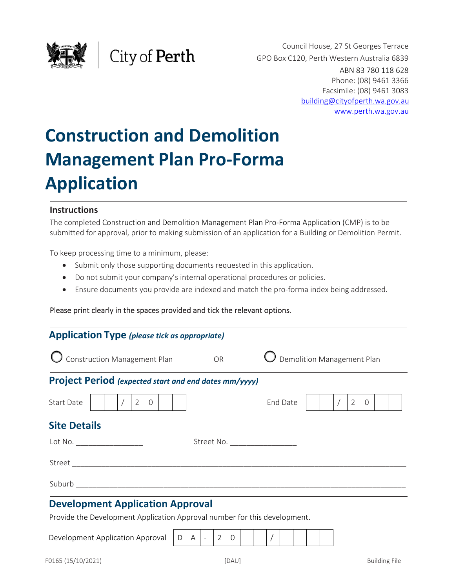

Council House, 27 St Georges Terrace GPO Box C120, Perth Western Australia 6839 ABN 83 780 118 628 Phone: (08) 9461 3366 Facsimile: (08) 9461 3083 building@cityofperth.wa.gov.au www.perth.wa.gov.au

# **Construction and Demolition Management Plan Pro‐Forma Application**

City of Perth

#### **Instructions**

The completed Construction and Demolition Management Plan Pro‐Forma Application (CMP) is to be submitted for approval, prior to making submission of an application for a Building or Demolition Permit.

To keep processing time to a minimum, please:

- Submit only those supporting documents requested in this application.
- Do not submit your company's internal operational procedures or policies.
- Ensure documents you provide are indexed and match the pro‐forma index being addressed.

#### Please print clearly in the spaces provided and tick the relevant options.

| <b>Application Type</b> (please tick as appropriate)                                                                                                                                                                           |   |              |  |               |          |  |                            |          |  |  |                |   |  |  |
|--------------------------------------------------------------------------------------------------------------------------------------------------------------------------------------------------------------------------------|---|--------------|--|---------------|----------|--|----------------------------|----------|--|--|----------------|---|--|--|
| $\bigcirc$ Construction Management Plan                                                                                                                                                                                        |   |              |  | <b>OR</b>     |          |  | Demolition Management Plan |          |  |  |                |   |  |  |
| <b>Project Period</b> (expected start and end dates mm/yyyy)                                                                                                                                                                   |   |              |  |               |          |  |                            |          |  |  |                |   |  |  |
| Start Date<br>$\overline{2}$<br>$\overline{0}$                                                                                                                                                                                 |   |              |  |               |          |  |                            | End Date |  |  | $\overline{2}$ | 0 |  |  |
| <b>Site Details</b>                                                                                                                                                                                                            |   |              |  |               |          |  |                            |          |  |  |                |   |  |  |
| Lot No.<br>Street No. ____________________                                                                                                                                                                                     |   |              |  |               |          |  |                            |          |  |  |                |   |  |  |
| Street and the state of the state of the state of the state of the state of the state of the state of the state of the state of the state of the state of the state of the state of the state of the state of the state of the |   |              |  |               |          |  |                            |          |  |  |                |   |  |  |
|                                                                                                                                                                                                                                |   |              |  |               |          |  |                            |          |  |  |                |   |  |  |
| <b>Development Application Approval</b>                                                                                                                                                                                        |   |              |  |               |          |  |                            |          |  |  |                |   |  |  |
| Provide the Development Application Approval number for this development.                                                                                                                                                      |   |              |  |               |          |  |                            |          |  |  |                |   |  |  |
| Development Application Approval                                                                                                                                                                                               | D | $\mathsf{A}$ |  | $\mathcal{P}$ | $\Omega$ |  |                            |          |  |  |                |   |  |  |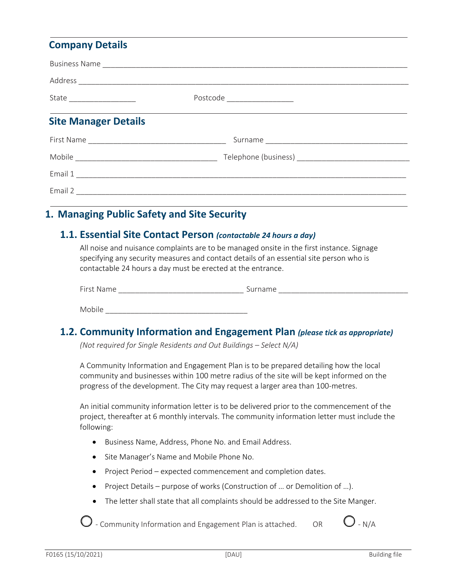## **Company Details**

|                             | Postcode __________________ |  |  |  |  |
|-----------------------------|-----------------------------|--|--|--|--|
| <b>Site Manager Details</b> |                             |  |  |  |  |
|                             |                             |  |  |  |  |
|                             |                             |  |  |  |  |
|                             |                             |  |  |  |  |
|                             |                             |  |  |  |  |

# **1. Managing Public Safety and Site Security**

#### **1.1. Essential Site Contact Person** *(contactable 24 hours a day)*

All noise and nuisance complaints are to be managed onsite in the first instance. Signage specifying any security measures and contact details of an essential site person who is contactable 24 hours a day must be erected at the entrance.

| $\overline{\phantom{0}}$ |  |
|--------------------------|--|
|                          |  |

Mobile **Lating Structure** 

## **1.2. Community Information and Engagement Plan** *(please tick as appropriate)*

*(Not required for Single Residents and Out Buildings – Select N/A)* 

A Community Information and Engagement Plan is to be prepared detailing how the local community and businesses within 100 metre radius of the site will be kept informed on the progress of the development. The City may request a larger area than 100‐metres.

An initial community information letter is to be delivered prior to the commencement of the project, thereafter at 6 monthly intervals. The community information letter must include the following:

- Business Name, Address, Phone No. and Email Address.
- Site Manager's Name and Mobile Phone No.
- Project Period expected commencement and completion dates.
- Project Details purpose of works (Construction of ... or Demolition of ...).
- The letter shall state that all complaints should be addressed to the Site Manger.

 $\bigcirc$  - Community Information and Engagement Plan is attached.  $\bigcirc$  O - N/A

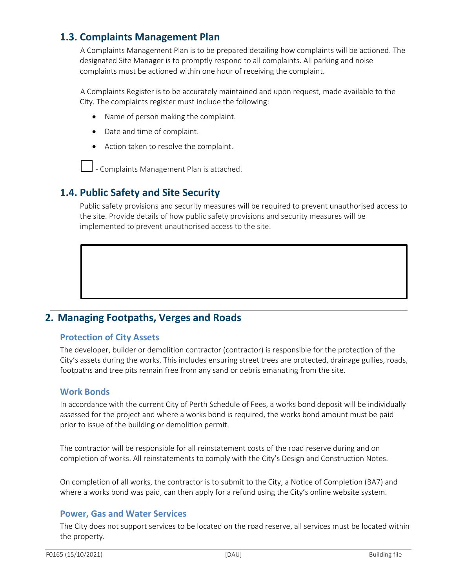# **1.3. Complaints Management Plan**

A Complaints Management Plan is to be prepared detailing how complaints will be actioned. The designated Site Manager is to promptly respond to all complaints. All parking and noise complaints must be actioned within one hour of receiving the complaint.

A Complaints Register is to be accurately maintained and upon request, made available to the City. The complaints register must include the following:

- Name of person making the complaint.
- Date and time of complaint.
- Action taken to resolve the complaint.

 $\Box$  - Complaints Management Plan is attached.

# **1.4. Public Safety and Site Security**

Public safety provisions and security measures will be required to prevent unauthorised access to the site. Provide details of how public safety provisions and security measures will be implemented to prevent unauthorised access to the site.

## **2. Managing Footpaths, Verges and Roads**

#### **Protection of City Assets**

The developer, builder or demolition contractor (contractor) is responsible for the protection of the City's assets during the works. This includes ensuring street trees are protected, drainage gullies, roads, footpaths and tree pits remain free from any sand or debris emanating from the site.

#### **Work Bonds**

In accordance with the current City of Perth Schedule of Fees, a works bond deposit will be individually assessed for the project and where a works bond is required, the works bond amount must be paid prior to issue of the building or demolition permit.

The contractor will be responsible for all reinstatement costs of the road reserve during and on completion of works. All reinstatements to comply with the City's Design and Construction Notes.

On completion of all works, the contractor is to submit to the City, a Notice of Completion (BA7) and where a works bond was paid, can then apply for a refund using the City's online website system.

#### **Power, Gas and Water Services**

The City does not support services to be located on the road reserve, all services must be located within the property.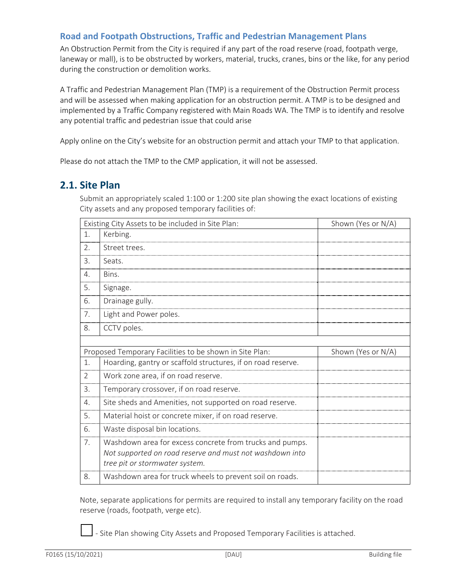#### **Road and Footpath Obstructions, Traffic and Pedestrian Management Plans**

An Obstruction Permit from the City is required if any part of the road reserve (road, footpath verge, laneway or mall), is to be obstructed by workers, material, trucks, cranes, bins or the like, for any period during the construction or demolition works.

A Traffic and Pedestrian Management Plan (TMP) is a requirement of the Obstruction Permit process and will be assessed when making application for an obstruction permit. A TMP is to be designed and implemented by a Traffic Company registered with Main Roads WA. The TMP is to identify and resolve any potential traffic and pedestrian issue that could arise

Apply online on the City's website for an obstruction permit and attach your TMP to that application.

Please do not attach the TMP to the CMP application, it will not be assessed.

## **2.1. Site Plan**

Submit an appropriately scaled 1:100 or 1:200 site plan showing the exact locations of existing City assets and any proposed temporary facilities of:

|                       | Existing City Assets to be included in Site Plan:                                                                                                      | Shown (Yes or N/A) |
|-----------------------|--------------------------------------------------------------------------------------------------------------------------------------------------------|--------------------|
| 1.                    | Kerbing.                                                                                                                                               |                    |
| 2.                    | Street trees.                                                                                                                                          |                    |
| 3.                    | Seats.                                                                                                                                                 |                    |
| 4.                    | Bins.                                                                                                                                                  |                    |
| 5.                    | Signage.                                                                                                                                               |                    |
| 6.                    | Drainage gully.                                                                                                                                        |                    |
| 7.                    | Light and Power poles.                                                                                                                                 |                    |
| 8.                    | CCTV poles.                                                                                                                                            |                    |
|                       |                                                                                                                                                        |                    |
|                       | Proposed Temporary Facilities to be shown in Site Plan:                                                                                                | Shown (Yes or N/A) |
| 1.                    | Hoarding, gantry or scaffold structures, if on road reserve.                                                                                           |                    |
| $\overline{2}$        | Work zone area, if on road reserve.                                                                                                                    |                    |
| 3.                    | Temporary crossover, if on road reserve.                                                                                                               |                    |
| $\mathcal{A}_{\cdot}$ | Site sheds and Amenities, not supported on road reserve.                                                                                               |                    |
| 5.                    | Material hoist or concrete mixer, if on road reserve.                                                                                                  |                    |
| 6.                    | Waste disposal bin locations.                                                                                                                          |                    |
| 7.                    | Washdown area for excess concrete from trucks and pumps.<br>Not supported on road reserve and must not washdown into<br>tree pit or stormwater system. |                    |
| 8.                    | Washdown area for truck wheels to prevent soil on roads.                                                                                               |                    |

Note, separate applications for permits are required to install any temporary facility on the road reserve (roads, footpath, verge etc).

‐ Site Plan showing City Assets and Proposed Temporary Facilities is attached.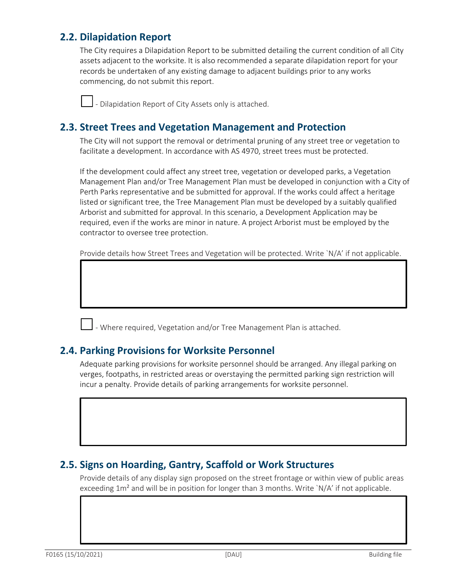# **2.2. Dilapidation Report**

The City requires a Dilapidation Report to be submitted detailing the current condition of all City assets adjacent to the worksite. It is also recommended a separate dilapidation report for your records be undertaken of any existing damage to adjacent buildings prior to any works commencing, do not submit this report.

‐ Dilapidation Report of City Assets only is attached.

## **2.3. Street Trees and Vegetation Management and Protection**

The City will not support the removal or detrimental pruning of any street tree or vegetation to facilitate a development. In accordance with AS 4970, street trees must be protected.

If the development could affect any street tree, vegetation or developed parks, a Vegetation Management Plan and/or Tree Management Plan must be developed in conjunction with a City of Perth Parks representative and be submitted for approval. If the works could affect a heritage listed or significant tree, the Tree Management Plan must be developed by a suitably qualified Arborist and submitted for approval. In this scenario, a Development Application may be required, even if the works are minor in nature. A project Arborist must be employed by the contractor to oversee tree protection.

Provide details how Street Trees and Vegetation will be protected. Write `N/A' if not applicable.

‐ Where required, Vegetation and/or Tree Management Plan is attached.

## **2.4. Parking Provisions for Worksite Personnel**

Adequate parking provisions for worksite personnel should be arranged. Any illegal parking on verges, footpaths, in restricted areas or overstaying the permitted parking sign restriction will incur a penalty. Provide details of parking arrangements for worksite personnel.

## **2.5. Signs on Hoarding, Gantry, Scaffold or Work Structures**

Provide details of any display sign proposed on the street frontage or within view of public areas exceeding  $1m<sup>2</sup>$  and will be in position for longer than 3 months. Write  $N/A'$  if not applicable.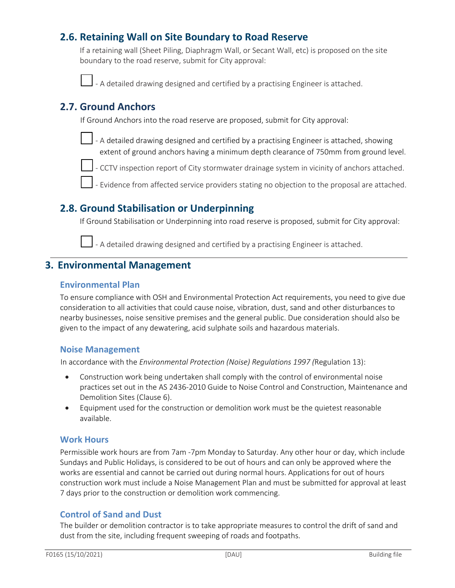# **2.6. Retaining Wall on Site Boundary to Road Reserve**

If a retaining wall (Sheet Piling, Diaphragm Wall, or Secant Wall, etc) is proposed on the site boundary to the road reserve, submit for City approval:

‐ A detailed drawing designed and certified by a practising Engineer is attached.

## **2.7. Ground Anchors**

If Ground Anchors into the road reserve are proposed, submit for City approval:



 ‐ A detailed drawing designed and certified by a practising Engineer is attached, showing extent of ground anchors having a minimum depth clearance of 750mm from ground level.



‐ CCTV inspection report of City stormwater drainage system in vicinity of anchors attached.

‐ Evidence from affected service providers stating no objection to the proposal are attached.

# **2.8. Ground Stabilisation or Underpinning**

If Ground Stabilisation or Underpinning into road reserve is proposed, submit for City approval:

‐ A detailed drawing designed and certified by a practising Engineer is attached.

## **3. Environmental Management**

#### **Environmental Plan**

To ensure compliance with OSH and Environmental Protection Act requirements, you need to give due consideration to all activities that could cause noise, vibration, dust, sand and other disturbances to nearby businesses, noise sensitive premises and the general public. Due consideration should also be given to the impact of any dewatering, acid sulphate soils and hazardous materials.

#### **Noise Management**

In accordance with the *Environmental Protection (Noise) Regulations 1997 (*Regulation 13):

- Construction work being undertaken shall comply with the control of environmental noise practices set out in the AS 2436‐2010 Guide to Noise Control and Construction, Maintenance and Demolition Sites (Clause 6).
- Equipment used for the construction or demolition work must be the quietest reasonable available.

#### **Work Hours**

Permissible work hours are from 7am ‐7pm Monday to Saturday. Any other hour or day, which include Sundays and Public Holidays, is considered to be out of hours and can only be approved where the works are essential and cannot be carried out during normal hours. Applications for out of hours construction work must include a Noise Management Plan and must be submitted for approval at least 7 days prior to the construction or demolition work commencing.

#### **Control of Sand and Dust**

The builder or demolition contractor is to take appropriate measures to control the drift of sand and dust from the site, including frequent sweeping of roads and footpaths.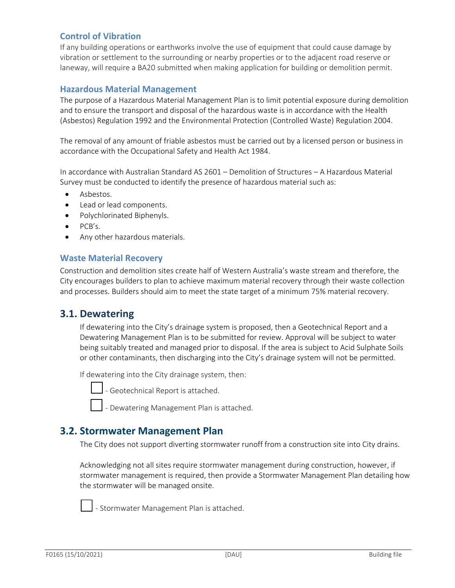#### **Control of Vibration**

If any building operations or earthworks involve the use of equipment that could cause damage by vibration or settlement to the surrounding or nearby properties or to the adjacent road reserve or laneway, will require a BA20 submitted when making application for building or demolition permit.

#### **Hazardous Material Management**

The purpose of a Hazardous Material Management Plan is to limit potential exposure during demolition and to ensure the transport and disposal of the hazardous waste is in accordance with the Health (Asbestos) Regulation 1992 and the Environmental Protection (Controlled Waste) Regulation 2004.

The removal of any amount of friable asbestos must be carried out by a licensed person or business in accordance with the Occupational Safety and Health Act 1984.

In accordance with Australian Standard AS 2601 – Demolition of Structures – A Hazardous Material Survey must be conducted to identify the presence of hazardous material such as:

- Asbestos.
- Lead or lead components.
- Polychlorinated Biphenyls.
- PCB's.
- Any other hazardous materials.

#### **Waste Material Recovery**

Construction and demolition sites create half of Western Australia's waste stream and therefore, the City encourages builders to plan to achieve maximum material recovery through their waste collection and processes. Builders should aim to meet the state target of a minimum 75% material recovery.

## **3.1. Dewatering**

If dewatering into the City's drainage system is proposed, then a Geotechnical Report and a Dewatering Management Plan is to be submitted for review. Approval will be subject to water being suitably treated and managed prior to disposal. If the area is subject to Acid Sulphate Soils or other contaminants, then discharging into the City's drainage system will not be permitted.

If dewatering into the City drainage system, then:

‐ Geotechnical Report is attached.

‐ Dewatering Management Plan is attached.

## **3.2. Stormwater Management Plan**

The City does not support diverting stormwater runoff from a construction site into City drains.

Acknowledging not all sites require stormwater management during construction, however, if stormwater management is required, then provide a Stormwater Management Plan detailing how the stormwater will be managed onsite.



‐ Stormwater Management Plan is attached.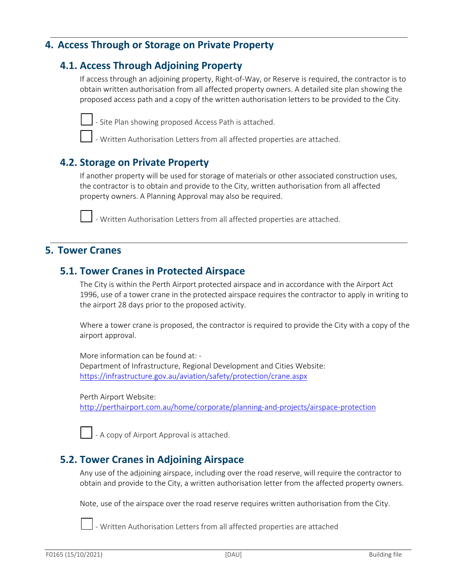## **4. Access Through or Storage on Private Property**

## **4.1. Access Through Adjoining Property**

If access through an adjoining property, Right‐of‐Way, or Reserve is required, the contractor is to obtain written authorisation from all affected property owners. A detailed site plan showing the proposed access path and a copy of the written authorisation letters to be provided to the City.



‐ Site Plan showing proposed Access Path is attached.

‐ Written Authorisation Letters from all affected properties are attached.

## **4.2. Storage on Private Property**

If another property will be used for storage of materials or other associated construction uses, the contractor is to obtain and provide to the City, written authorisation from all affected property owners. A Planning Approval may also be required.



‐ Written Authorisation Letters from all affected properties are attached.

## **5. Tower Cranes**

## **5.1. Tower Cranes in Protected Airspace**

The City is within the Perth Airport protected airspace and in accordance with the Airport Act 1996, use of a tower crane in the protected airspace requires the contractor to apply in writing to the airport 28 days prior to the proposed activity.

Where a tower crane is proposed, the contractor is required to provide the City with a copy of the airport approval.

More information can be found at: ‐ Department of Infrastructure, Regional Development and Cities Website: https://infrastructure.gov.au/aviation/safety/protection/crane.aspx

Perth Airport Website:

http://perthairport.com.au/home/corporate/planning‐and‐projects/airspace‐protection



‐ A copy of Airport Approval is attached.

## **5.2. Tower Cranes in Adjoining Airspace**

Any use of the adjoining airspace, including over the road reserve, will require the contractor to obtain and provide to the City, a written authorisation letter from the affected property owners.

Note, use of the airspace over the road reserve requires written authorisation from the City.



‐ Written Authorisation Letters from all affected properties are attached